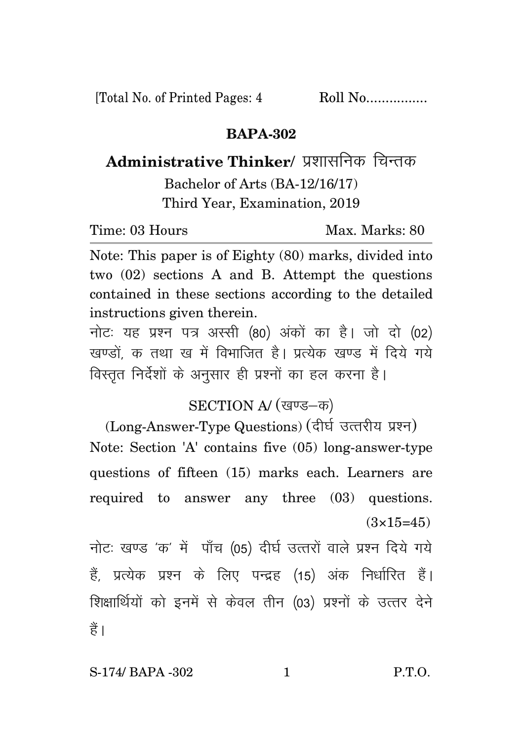[Total No. of Printed Pages: 4 Roll No.................

### **BAPA-302**

Administrative Thinker/ प्रशासनिक चिन्तक Bachelor of Arts (BA-12/16/17) Third Year, Examination, 2019

Time: 03 Hours Max. Marks: 80

Note: This paper is of Eighty (80) marks, divided into two (02) sections A and B. Attempt the questions contained in these sections according to the detailed instructions given therein.

नोट: यह प्रश्न पत्र अस्सी (80) अंकों का है। जो दो (02) खण्डों क तथा ख में विभाजित है। प्रत्येक खण्ड में दिये गये विस्तृत निर्देशों के अनुसार ही प्रश्नों का हल करना है।

## SECTION A/ (खण्ड-क)

(Long-Answer-Type Questions) (दीर्घ उत्तरीय प्रश्न) Note: Section 'A' contains five (05) long-answer-type questions of fifteen (15) marks each. Learners are required to answer any three (03) questions.  $(3\times15=45)$ 

नोटः खण्ड 'क' में पाँच (05) दीर्घ उत्तरों वाले प्रश्न दिये गये हैं, प्रत्येक प्रश्न के लिए पन्द्रह (15) अंक निर्धारित हैं। शिक्षार्थियों को इनमें से केवल तीन (03) प्रश्नों के उत्तर देने हैं ।

S-174/ BAPA -302 1 P.T.O.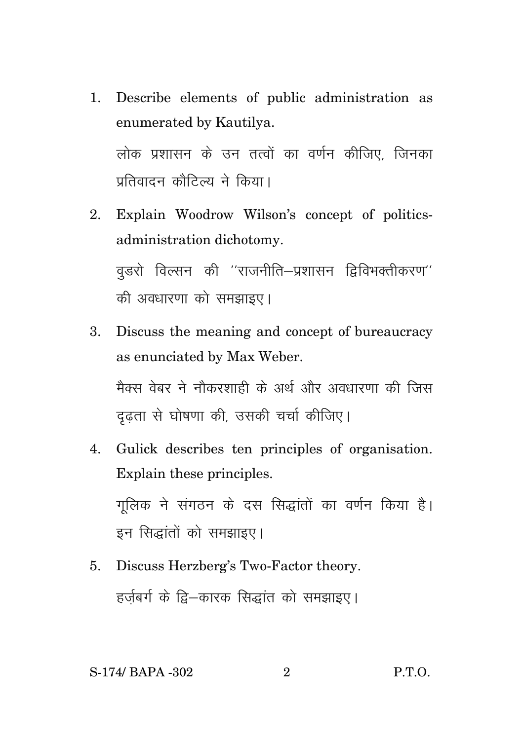- 1. Describe elements of public administration as enumerated by Kautilya. लोक प्रशासन के उन तत्वों का वर्णन कीजिए, जिनका पतिवादन कौटिल्य ने किया।
- 2. Explain Woodrow Wilson's concept of politicsadministration dichotomy.  $q$ डरो विल्सन की ''राजनीति–प्रशासन द्विविभक्तीकरण'' की अवधारणा को समझाइए।
- 3. Discuss the meaning and concept of bureaucracy as enunciated by Max Weber. मैक्स वेबर ने नौकरशाही के अर्थ और अवधारणा की जिस दृढता से घोषणा की, उसकी चर्चा कीजिए।
- 4. Gulick describes ten principles of organisation. Explain these principles. गलिक ने संगठन के दस सिद्धांतों का वर्णन किया है।

इन सिद्धांतों को समझाइए।

5. Discuss Herzberg's Two-Factor theory. हर्जबर्ग के द्वि–कारक सिद्धांत को समझाइए।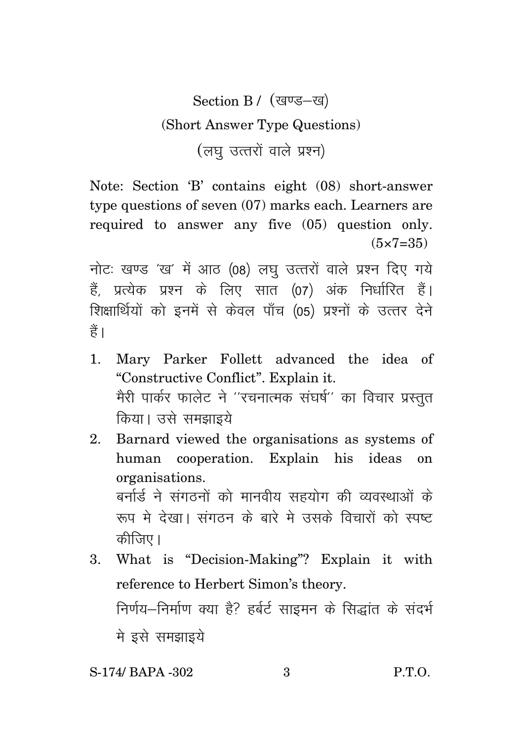# Section B / (खण्ड-ख) (Short Answer Type Questions) (लघु उत्तरों वाले प्रश्न)

Note: Section 'B' contains eight (08) short-answer type questions of seven (07) marks each. Learners are required to answer any five (05) question only.  $(5 \times 7 = 35)$ 

नोटः खण्ड 'ख' में आठ (08) लघु उत्तरों वाले प्रश्न दिए गये हैं. प्रत्येक प्रश्न के लिए सात (07) अंक निर्धारित हैं। शिक्षार्थियों को इनमें से केवल पाँच (05) प्रश्नों के उत्तर देने हैं।

- 1. Mary Parker Follett advanced the idea of "Constructive Conflict". Explain it. मेरी पार्कर फालेट ने ''रचनात्मक संघर्ष'' का विचार प्रस्तुत किया। उसे समझाइये
- 2. Barnard viewed the organisations as systems of human cooperation. Explain his ideas on organisations. बर्नार्ड ने संगठनों को मानवीय सहयोग की व्यवस्थाओं के :<br>रूप मे देखा। संगठन के बारे मे उसके विचारों को स्पष्ट कीजिए।
- 3. What is "Decision-Making"? Explain it with reference to Herbert Simon's theory. निर्णय–निर्माण क्या है? हर्बर्ट साइमन के सिद्धांत के संदर्भ मे इसे समझाइये

### S-174/ BAPA -302 3 P.T.O.